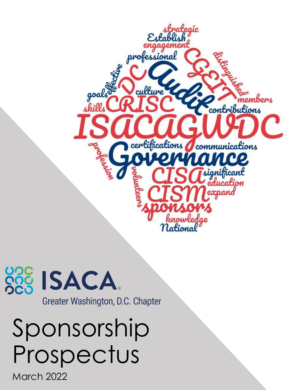



# Sponsorship Prospectus

March 2022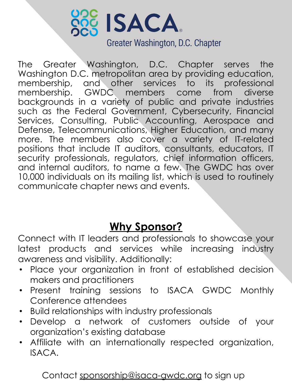

The Greater Washington, D.C. Chapter serves the Washington D.C. metropolitan area by providing education, membership, and other services to its professional membership. GWDC members come from diverse backgrounds in a variety of public and private industries such as the Federal Government, Cybersecurity, Financial Services, Consulting, Public Accounting, Aerospace and Defense, Telecommunications, Higher Education, and many more. The members also cover a variety of IT-related positions that include IT auditors, consultants, educators, IT security professionals, regulators, chief information officers, and internal auditors, to name a few. The GWDC has over 10,000 individuals on its mailing list, which is used to routinely communicate chapter news and events.

## **Why Sponsor?**

Connect with IT leaders and professionals to showcase your latest products and services while increasing industry awareness and visibility. Additionally:

- Place your organization in front of established decision makers and practitioners
- Present training sessions to ISACA GWDC Monthly Conference attendees
- Build relationships with industry professionals
- Develop a network of customers outside of your organization's existing database
- Affiliate with an internationally respected organization, ISACA.

Contact [sponsorship@isaca-gwdc.org](mailto:sponsorship@isaca-gwdc.org) to sign up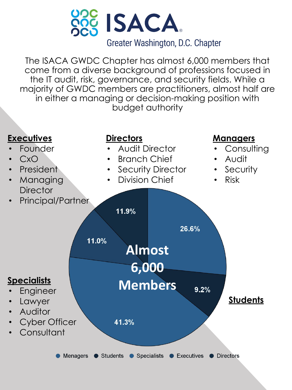

The ISACA GWDC Chapter has almost 6,000 members that come from a diverse background of professions focused in the IT audit, risk, governance, and security fields. While a majority of GWDC members are practitioners, almost half are in either a managing or decision-making position with budget authority

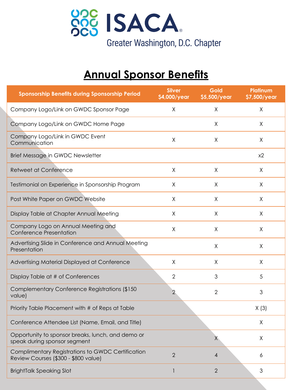

# **Annual Sponsor Benefits**

| <b>Sponsorship Benefits during Sponsorship Period</b>                                     | <b>Silver</b><br>\$4,000/year | Gold<br>\$5,500/year | Platinum<br>\$7,500/year |
|-------------------------------------------------------------------------------------------|-------------------------------|----------------------|--------------------------|
| Company Logo/Link on GWDC Sponsor Page                                                    | Χ                             | X                    | Χ                        |
| Company Logo/Link on GWDC Home Page                                                       |                               | X                    | X                        |
| Company Logo/Link in GWDC Event<br>Communication                                          | X                             | X                    | X                        |
| Brief Message in GWDC Newsletter                                                          |                               |                      | x2                       |
| <b>Retweet at Conference</b>                                                              | X                             | X                    | X                        |
| Testimonial on Experience in Sponsorship Program                                          | Χ                             | Χ                    | Χ                        |
| Post White Paper on GWDC Website                                                          | Χ                             | Χ                    | Χ                        |
| Display Table at Chapter Annual Meeting                                                   | Χ                             | Χ                    | Χ                        |
| Company Logo on Annual Meeting and<br><b>Conference Presentation</b>                      | X                             | Χ                    | X                        |
| Advertising Slide in Conference and Annual Meeting<br>Presentation                        |                               | X                    | Χ                        |
| Advertising Material Displayed at Conference                                              | X                             | Χ                    | X                        |
| Display Table at # of Conferences                                                         | $\overline{2}$                | 3                    | 5                        |
| Complementary Conference Registrations (\$150)<br>value)                                  | $\overline{2}$                | $\overline{2}$       | 3                        |
| Priority Table Placement with # of Reps at Table                                          |                               |                      | X(3)                     |
| Conference Attendee List (Name, Email, and Title)                                         |                               |                      | Χ                        |
| Opportunity to sponsor breaks, lunch, and demo or<br>speak during sponsor segment         |                               | X                    | χ                        |
| Complimentary Registrations to GWDC Certification<br>Review Courses (\$300 - \$800 value) | $\overline{2}$                | 4                    | 6                        |
| <b>BrightTalk Speaking Slot</b>                                                           | $\mathbf{1}$                  | $\overline{2}$       | 3                        |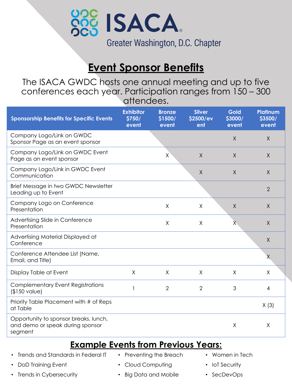

## **Event Sponsor Benefits**

The ISACA GWDC hosts one annual meeting and up to five conferences each year. Participation ranges from 150 – 300 attendees.

| <b>Sponsorship Benefits for Specific Events</b>                                      | <b>Exhibitor</b><br>\$750/<br>event | <b>Bronze</b><br>\$1500/<br>event | <b>Silver</b><br>\$2500/ev<br>ent | Gold<br>\$3000/<br>event | <b>Platinum</b><br>\$3500/<br>event |
|--------------------------------------------------------------------------------------|-------------------------------------|-----------------------------------|-----------------------------------|--------------------------|-------------------------------------|
| Company Logo/Link on GWDC<br>Sponsor Page as an event sponsor                        |                                     |                                   |                                   | $\sf X$                  | X                                   |
| Company Logo/Link on GWDC Event<br>Page as an event sponsor                          |                                     | X                                 | $\mathsf{X}$                      | X                        | $\mathsf{X}$                        |
| Company Logo/Link in GWDC Event<br>Communication                                     |                                     |                                   | Χ                                 | Χ                        | X                                   |
| Brief Message in two GWDC Newsletter<br>Leading up to Event                          |                                     |                                   |                                   |                          | $\overline{2}$                      |
| Company Logo on Conference<br>Presentation                                           |                                     | $\times$                          | X                                 | $\sf X$                  | X                                   |
| Advertising Slide in Conference<br>Presentation                                      |                                     | X                                 | $\mathsf X$                       | χ                        | $\mathsf{X}$                        |
| Advertising Material Displayed at<br>Conference                                      |                                     |                                   |                                   |                          | X                                   |
| Conference Attendee List (Name,<br>Email, and Title)                                 |                                     |                                   |                                   |                          | Χ                                   |
| Display Table at Event                                                               | X                                   | X                                 | X                                 | X                        | X                                   |
| <b>Complementary Event Registrations</b><br>(\$150 value)                            |                                     | $\overline{2}$                    | $\overline{2}$                    | 3                        | 4                                   |
| Priority Table Placement with # of Reps<br>at Table                                  |                                     |                                   |                                   |                          | X(3)                                |
| Opportunity to sponsor breaks, lunch,<br>and demo or speak during sponsor<br>segment |                                     |                                   |                                   | Χ                        | χ                                   |

#### **Example Events from Previous Years:**

- Trends and Standards in Federal IT
- DoD Training Event
- Preventing the Breach
- Women in Tech
- Cloud Computing
- Trends in Cybersecurity
- Big Data and Mobile
- IoT Security
- SecDevOps